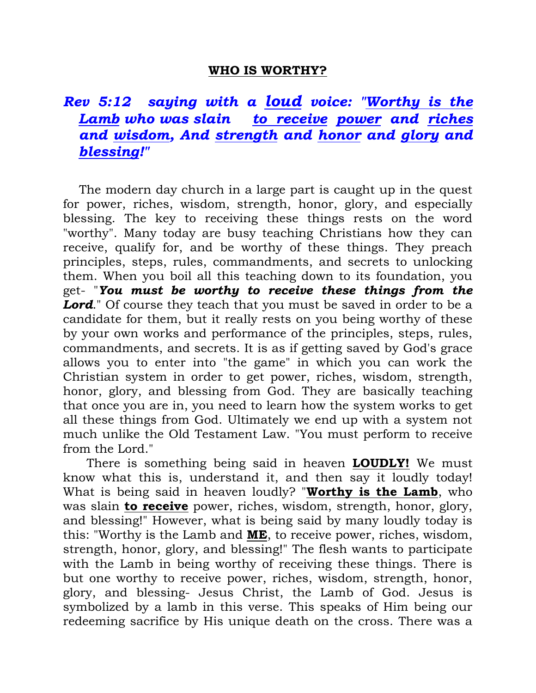## **WHO IS WORTHY?**

## *Rev 5:12 saying with a loud voice: "Worthy is the Lamb who was slain to receive power and riches and wisdom, And strength and honor and glory and blessing!"*

 The modern day church in a large part is caught up in the quest for power, riches, wisdom, strength, honor, glory, and especially blessing. The key to receiving these things rests on the word "worthy". Many today are busy teaching Christians how they can receive, qualify for, and be worthy of these things. They preach principles, steps, rules, commandments, and secrets to unlocking them. When you boil all this teaching down to its foundation, you get- "*You must be worthy to receive these things from the Lord.* Of course they teach that you must be saved in order to be a candidate for them, but it really rests on you being worthy of these by your own works and performance of the principles, steps, rules, commandments, and secrets. It is as if getting saved by God's grace allows you to enter into "the game" in which you can work the Christian system in order to get power, riches, wisdom, strength, honor, glory, and blessing from God. They are basically teaching that once you are in, you need to learn how the system works to get all these things from God. Ultimately we end up with a system not much unlike the Old Testament Law. "You must perform to receive from the Lord."

 There is something being said in heaven **LOUDLY!** We must know what this is, understand it, and then say it loudly today! What is being said in heaven loudly? "**Worthy is the Lamb**, who was slain **to receive** power, riches, wisdom, strength, honor, glory, and blessing!" However, what is being said by many loudly today is this: "Worthy is the Lamb and **ME**, to receive power, riches, wisdom, strength, honor, glory, and blessing!" The flesh wants to participate with the Lamb in being worthy of receiving these things. There is but one worthy to receive power, riches, wisdom, strength, honor, glory, and blessing- Jesus Christ, the Lamb of God. Jesus is symbolized by a lamb in this verse. This speaks of Him being our redeeming sacrifice by His unique death on the cross. There was a